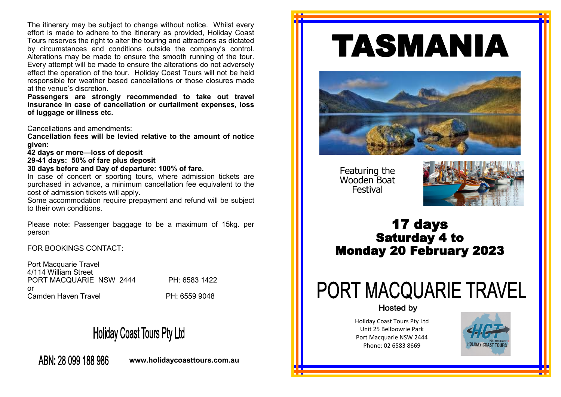The itinerary may be subject to change without notice. Whilst every effort is made to adhere to the itinerary as provided, Holiday Coast Tours reserves the right to alter the touring and attractions as dictated by circumstances and conditions outside the company's control. Alterations may be made to ensure the smooth running of the tour. Every attempt will be made to ensure the alterations do not adversely effect the operation of the tour. Holiday Coast Tours will not be held responsible for weather based cancellations or those closures made at the venue's discretion.

**Passengers are strongly recommended to take out travel insurance in case of cancellation or curtailment expenses, loss of luggage or illness etc.** 

Cancellations and amendments:

**Cancellation fees will be levied relative to the amount of notice given:**

**42 days or more—loss of deposit**

**29-41 days: 50% of fare plus deposit**

**30 days before and Day of departure: 100% of fare.**

In case of concert or sporting tours, where admission tickets are purchased in advance, a minimum cancellation fee equivalent to the cost of admission tickets will apply.

Some accommodation require prepayment and refund will be subject to their own conditions.

Please note: Passenger baggage to be a maximum of 15kg. per person

FOR BOOKINGS CONTACT:

Port Macquarie Travel 4/114 William Street PORT MACQUARIE NSW 2444 PH: 6583 1422 or Camden Haven Travel **PH: 6559 9048** 

## **Holiday Coast Tours Pty Ltd**

ABN: 28 099 188 986

**www.holidaycoasttours.com.au**

# TASMANIA



Featuring the Wooden Boat Festival



### 17 days Saturday 4 to Monday 20 February 2023

## PORT MACQUARIE TRAVEL

**Hosted by** 

Holiday Coast Tours Pty Ltd Unit 25 Bellbowrie Park Port Macquarie NSW 2444 Phone: 02 6583 8669

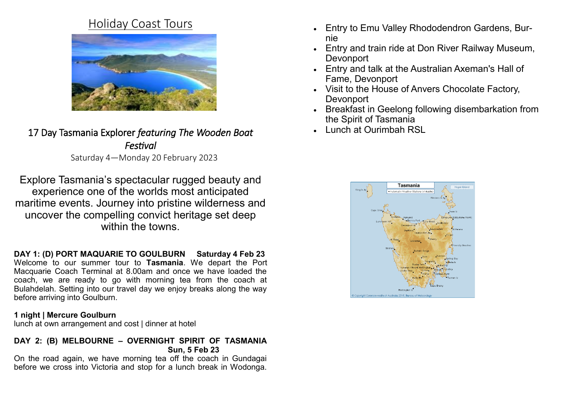## Holiday Coast Tours



17 Day Tasmania Explorer *featuring The Wooden Boat Festival*  Saturday 4—Monday 20 February 2023

Explore Tasmania's spectacular rugged beauty and experience one of the worlds most anticipated maritime events. Journey into pristine wilderness and uncover the compelling convict heritage set deep within the towns

**DAY 1: (D) PORT MAQUARIE TO GOULBURN Saturday 4 Feb 23** Welcome to our summer tour to **Tasmania**. We depart the Port Macquarie Coach Terminal at 8.00am and once we have loaded the coach, we are ready to go with morning tea from the coach at Bulahdelah. Setting into our travel day we enjoy breaks along the way before arriving into Goulburn.

#### **1 night | Mercure Goulburn**

lunch at own arrangement and cost | dinner at hotel

#### **DAY 2: (B) MELBOURNE – OVERNIGHT SPIRIT OF TASMANIA Sun, 5 Feb 23**

On the road again, we have morning tea off the coach in Gundagai before we cross into Victoria and stop for a lunch break in Wodonga.

- Entry to Emu Valley Rhododendron Gardens, Burnie
- Entry and train ride at Don River Railway Museum, **Devonport**
- Entry and talk at the Australian Axeman's Hall of Fame, Devonport
- Visit to the House of Anvers Chocolate Factory, **Devonport**
- Breakfast in Geelong following disembarkation from the Spirit of Tasmania
- Lunch at Ourimbah RSL

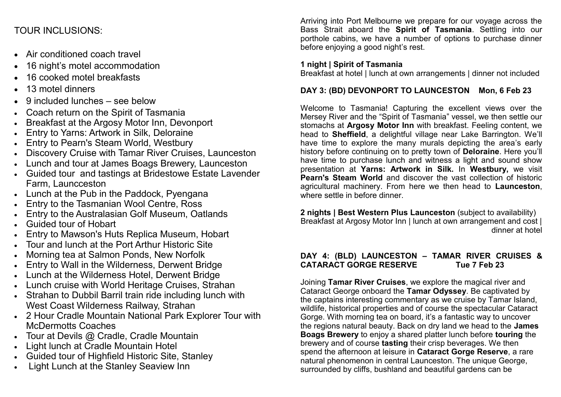#### TOUR INCLUSIONS:

- Air conditioned coach travel
- 16 night's motel accommodation
- 16 cooked motel breakfasts
- 13 motel dinners
- 9 included lunches see below
- Coach return on the Spirit of Tasmania
- Breakfast at the Argosy Motor Inn, Devonport
- Entry to Yarns: Artwork in Silk, Deloraine
- Entry to Pearn's Steam World, Westbury
- Discovery Cruise with Tamar River Cruises, Launceston
- Lunch and tour at James Boags Brewery, Launceston
- Guided tour and tastings at Bridestowe Estate Lavender Farm, Launcceston
- Lunch at the Pub in the Paddock, Pyengana
- Entry to the Tasmanian Wool Centre, Ross
- Entry to the Australasian Golf Museum, Oatlands
- Guided tour of Hobart
- Entry to Mawson's Huts Replica Museum, Hobart
- Tour and lunch at the Port Arthur Historic Site
- Morning tea at Salmon Ponds, New Norfolk
- Entry to Wall in the Wilderness, Derwent Bridge
- Lunch at the Wilderness Hotel, Derwent Bridge
- Lunch cruise with World Heritage Cruises, Strahan
- Strahan to Dubbil Barril train ride including lunch with West Coast Wilderness Railway, Strahan
- 2 Hour Cradle Mountain National Park Explorer Tour with McDermotts Coaches
- Tour at Devils @ Cradle, Cradle Mountain
- Light lunch at Cradle Mountain Hotel
- Guided tour of Highfield Historic Site, Stanley
- Light Lunch at the Stanley Seaview Inn

Arriving into Port Melbourne we prepare for our voyage across the Bass Strait aboard the **Spirit of Tasmania**. Settling into our porthole cabins, we have a number of options to purchase dinner before enjoying a good night's rest.

#### **1 night | Spirit of Tasmania**

Breakfast at hotel | lunch at own arrangements | dinner not included

#### **DAY 3: (BD) DEVONPORT TO LAUNCESTON Mon, 6 Feb 23**

Welcome to Tasmania! Capturing the excellent views over the Mersey River and the "Spirit of Tasmania" vessel, we then settle our stomachs at **Argosy Motor Inn** with breakfast. Feeling content, we head to **Sheffield**, a delightful village near Lake Barrington. We'll have time to explore the many murals depicting the area's early history before continuing on to pretty town of **Deloraine**. Here you'll have time to purchase lunch and witness a light and sound show presentation at **Yarns: Artwork in Silk.** In **Westbury,** we visit **Pearn's Steam World** and discover the vast collection of historic agricultural machinery. From here we then head to **Launceston**, where settle in before dinner.

**2 nights | Best Western Plus Launceston** (subject to availability) Breakfast at Argosy Motor Inn | lunch at own arrangement and cost | dinner at hotel

#### **DAY 4: (BLD) LAUNCESTON – TAMAR RIVER CRUISES & CATARACT GORGE RESERVE**

Joining **Tamar River Cruises**, we explore the magical river and Cataract George onboard the **Tamar Odyssey**. Be captivated by the captains interesting commentary as we cruise by Tamar Island, wildlife, historical properties and of course the spectacular Cataract Gorge. With morning tea on board, it's a fantastic way to uncover the regions natural beauty. Back on dry land we head to the **James Boags Brewery** to enjoy a shared platter lunch before **touring** the brewery and of course **tasting** their crisp beverages. We then spend the afternoon at leisure in **Cataract Gorge Reserve**, a rare natural phenomenon in central Launceston. The unique George, surrounded by cliffs, bushland and beautiful gardens can be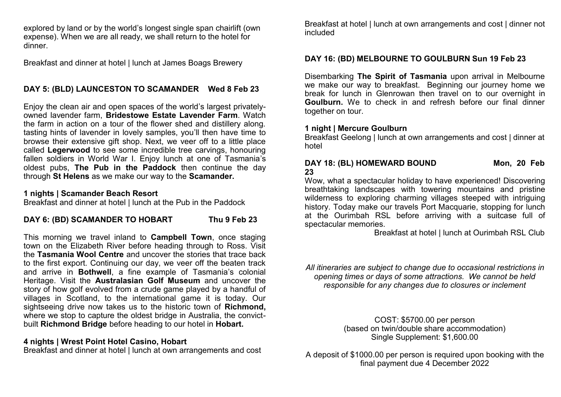explored by land or by the world's longest single span chairlift (own expense). When we are all ready, we shall return to the hotel for dinner.

Breakfast and dinner at hotel | lunch at James Boags Brewery

#### **DAY 5: (BLD) LAUNCESTON TO SCAMANDER Wed 8 Feb 23**

Enjoy the clean air and open spaces of the world's largest privatelyowned lavender farm, **Bridestowe Estate Lavender Farm**. Watch the farm in action on a tour of the flower shed and distillery along. tasting hints of lavender in lovely samples, you'll then have time to browse their extensive gift shop. Next, we veer off to a little place called **Legerwood** to see some incredible tree carvings, honouring fallen soldiers in World War I. Enjoy lunch at one of Tasmania's oldest pubs, **The Pub in the Paddock** then continue the day through **St Helens** as we make our way to the **Scamander.** 

#### **1 nights | Scamander Beach Resort**

Breakfast and dinner at hotel | lunch at the Pub in the Paddock

#### DAY 6: (BD) SCAMANDER TO HOBART Thu 9 Feb 23

This morning we travel inland to **Campbell Town**, once staging town on the Elizabeth River before heading through to Ross. Visit the **Tasmania Wool Centre** and uncover the stories that trace back to the first export. Continuing our day, we veer off the beaten track and arrive in **Bothwell**, a fine example of Tasmania's colonial Heritage. Visit the **Australasian Golf Museum** and uncover the story of how golf evolved from a crude game played by a handful of villages in Scotland, to the international game it is today. Our sightseeing drive now takes us to the historic town of **Richmond,**  where we stop to capture the oldest bridge in Australia, the convictbuilt **Richmond Bridge** before heading to our hotel in **Hobart.**

#### **4 nights | Wrest Point Hotel Casino, Hobart**

Breakfast and dinner at hotel I lunch at own arrangements and cost

Breakfast at hotel | lunch at own arrangements and cost | dinner not included

#### **DAY 16: (BD) MELBOURNE TO GOULBURN Sun 19 Feb 23**

Disembarking **The Spirit of Tasmania** upon arrival in Melbourne we make our way to breakfast. Beginning our journey home we break for lunch in Glenrowan then travel on to our overnight in **Goulburn.** We to check in and refresh before our final dinner together on tour.

#### **1 night | Mercure Goulburn**

Breakfast Geelong | lunch at own arrangements and cost | dinner at hotel

#### **DAY 18: (BL) HOMEWARD BOUND Mon, 20 Feb 23**

Wow, what a spectacular holiday to have experienced! Discovering breathtaking landscapes with towering mountains and pristine wilderness to exploring charming villages steeped with intriguing history. Today make our travels Port Macquarie, stopping for lunch at the Ourimbah RSL before arriving with a suitcase full of spectacular memories.

Breakfast at hotel | lunch at Ourimbah RSL Club

*All itineraries are subject to change due to occasional restrictions in opening times or days of some attractions. We cannot be held responsible for any changes due to closures or inclement*

> COST: \$5700.00 per person (based on twin/double share accommodation) Single Supplement: \$1,600.00

A deposit of \$1000.00 per person is required upon booking with the final payment due 4 December 2022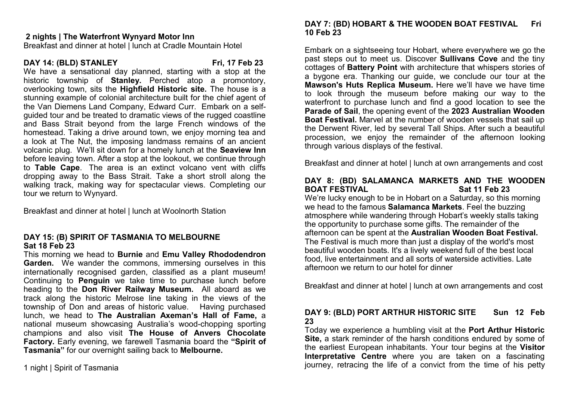#### **2 nights | The Waterfront Wynyard Motor Inn**

Breakfast and dinner at hotel | lunch at Cradle Mountain Hotel

#### **DAY 14: (BLD) STANLEY Fri, 17 Feb 23**

We have a sensational day planned, starting with a stop at the historic township of **Stanley.** Perched atop a promontory, overlooking town, sits the **Highfield Historic site.** The house is a stunning example of colonial architecture built for the chief agent of the Van Diemens Land Company, Edward Curr. Embark on a selfguided tour and be treated to dramatic views of the rugged coastline and Bass Strait beyond from the large French windows of the homestead. Taking a drive around town, we enjoy morning tea and a look at The Nut, the imposing landmass remains of an ancient volcanic plug. We'll sit down for a homely lunch at the **Seaview Inn**  before leaving town. After a stop at the lookout, we continue through to **Table Cape**. The area is an extinct volcano vent with cliffs dropping away to the Bass Strait. Take a short stroll along the walking track, making way for spectacular views. Completing our tour we return to Wynyard.

Breakfast and dinner at hotel | lunch at Woolnorth Station

#### **DAY 15: (B) SPIRIT OF TASMANIA TO MELBOURNE Sat 18 Feb 23**

This morning we head to **Burnie** and **Emu Valley Rhododendron Garden.** We wander the commons, immersing ourselves in this internationally recognised garden, classified as a plant museum! Continuing to **Penguin** we take time to purchase lunch before heading to the **Don River Railway Museum.** All aboard as we track along the historic Melrose line taking in the views of the township of Don and areas of historic value. Having purchased lunch, we head to **The Australian Axeman's Hall of Fame,** a national museum showcasing Australia's wood-chopping sporting champions and also visit **The House of Anvers Chocolate Factory.** Early evening, we farewell Tasmania board the **"Spirit of Tasmania"** for our overnight sailing back to **Melbourne.** 

#### **DAY 7: (BD) HOBART & THE WOODEN BOAT FESTIVAL Fri 10 Feb 23**

Embark on a sightseeing tour Hobart, where everywhere we go the past steps out to meet us. Discover **Sullivans Cove** and the tiny cottages of **Battery Point** with architecture that whispers stories of a bygone era. Thanking our guide, we conclude our tour at the **Mawson's Huts Replica Museum.** Here we'll have we have time to look through the museum before making our way to the waterfront to purchase lunch and find a good location to see the **Parade of Sail**, the opening event of the **2023 Australian Wooden Boat Festival.** Marvel at the number of wooden vessels that sail up the Derwent River, led by several Tall Ships. After such a beautiful procession, we enjoy the remainder of the afternoon looking through various displays of the festival.

Breakfast and dinner at hotel | lunch at own arrangements and cost

#### **DAY 8: (BD) SALAMANCA MARKETS AND THE WOODEN BOAT FESTIVAL Sat 11 Feb 23**

We're lucky enough to be in Hobart on a Saturday, so this morning we head to the famous **Salamanca Markets**. Feel the buzzing atmosphere while wandering through Hobart's weekly stalls taking the opportunity to purchase some gifts. The remainder of the afternoon can be spent at the **Australian Wooden Boat Festival.** The Festival is much more than just a display of the world's most beautiful wooden boats. It's a lively weekend full of the best local food, live entertainment and all sorts of waterside activities. Late afternoon we return to our hotel for dinner

Breakfast and dinner at hotel | lunch at own arrangements and cost

#### **DAY 9: (BLD) PORT ARTHUR HISTORIC SITE Sun 12 Feb 23**

Today we experience a humbling visit at the **Port Arthur Historic Site, a stark reminder of the harsh conditions endured by some of** the earliest European inhabitants. Your tour begins at the **Visitor Interpretative Centre** where you are taken on a fascinating journey, retracing the life of a convict from the time of his petty